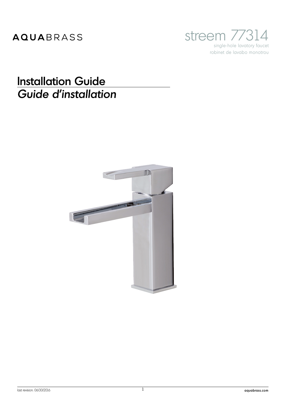## AQUABRASS



## **Installation Guide** Guide d'installation

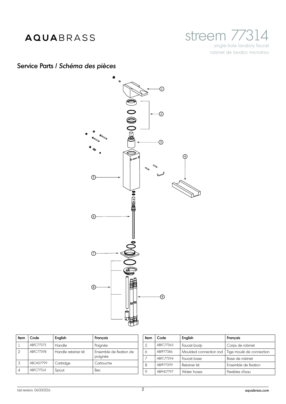## AQUABRASS



Service Parts / *Schéma des pièces*



| Item | Code       | English             | Francais                           |
|------|------------|---------------------|------------------------------------|
|      | ABFC77373  | Handle              | Poignée                            |
| 2    | ABFC77398  | Handle retainer kit | Ensemble de fixation de<br>poignée |
| 3    | ABCA07799  | Cartridge           | Cartouche                          |
| 4    | ABFC.77314 | Spout               | Bec                                |

| Item | Code      | English                | Francais                 |
|------|-----------|------------------------|--------------------------|
| 5    | ABFC77365 | Faucet body            | Corps de robinet         |
| 6    | ABFP77386 | Moulded connection rod | Tige moulé de connection |
|      | ABFC77394 | Faucet base            | Base de robinet          |
| 8    | ABFP77399 | Retainer kit           | Ensemble de fixation     |
| 9    | ABFH07797 | Water hoses            | Flexibles d'eau          |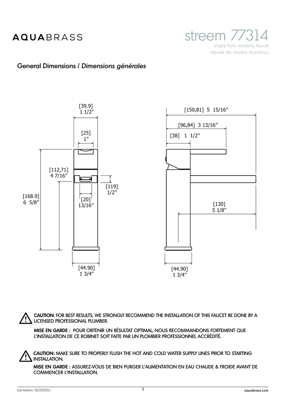streem //3 single-hole lavatory faucet robinet de lavabo monotrou

### General Dimensions / *Dimensions générales*



**CAUTION**: FOR BEST RESULTS, WE STRONGLY RECOMMEND THE INSTALLATION OF THIS FAUCET BE DONE BY A LICENSED PROFESSIONAL PLUMBER.

**MISE EN GARDE :** POUR OBTENIR UN RÉSULTAT OPTIMAL, NOUS RECOMMANDONS FORTEMENT QUE L'INSTALLATION DE CE ROBINET SOIT FAITE PAR UN PLOMBIER PROFESSIONNEL ACCRÉDITÉ.

**CAUTION:** MAKE SURE TO PROPERLY FLUSH THE HOT AND COLD WATER SUPPLY LINES PRIOR TO STARTING INSTALLATION.

**MISE EN GARDE :** ASSUREZ-VOUS DE BIEN PURGER L'ALIMENTATION EN EAU CHAUDE & FROIDE AVANT DE COMMENCER L'INSTALLATION.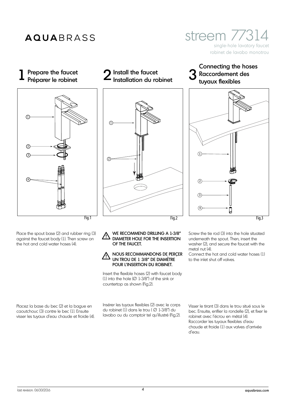Prepare the faucet<br>Préparer le robinet



Place the spout base (2) and rubber ring (3) against the faucet body (1). Then screw on the hot and cold water hoses (4).

Placez la base du bec (2) et la bague en caoutchouc (3) contre le bec (1). Ensuite visser les tuyaux d'eau chaude et froide (4).

countertop as shown (Fig.2).

2

 $\circled{1}$ 

Insérer les tuyaux flexibles (2) avec le corps du robinet  $(1)$  dans le trou ( $\varnothing$  1-3/8") du lavabo ou du comptoir tel qu'illustré (Fig.2).

Insert the flexible hoses (2) with faucet body (1) into the hole  $(\emptyset 1-3/8")$  of the sink or

WE RECOMMEND DRILLING A 1-3/8" DIAMETER HOLE FOR THE INSERTION

NOUS RECOMMANDONS DE PERÇER UN TROU DE 1 3/8" DE DIAMÈTRE POUR L'INSERTION DU ROBINET.

OF THE FAUCET.

Screw the tie rod (3) into the hole situated underneath the spout. Then, insert the washer (2), and secure the faucet with the metal nut (4).

Connect the hot and cold water hoses (1) to the inlet shut off valves.

Visser le tirant (3) dans le trou situé sous le bec. Ensuite, enfiler la rondelle (2), et fixer le robinet avec l'écrou en métal (4). Raccorder les tuyaux flexibles d'eau chaude et froide (1) aux valves d'arrivée d'eau.

# Prepare the faucet  $\bf 2$  Install the faucet  $\bf 3$

### robinet de lavabo monotrou Connecting the hoses Raccordement des

streem 7731

single-hole lavatory faucet



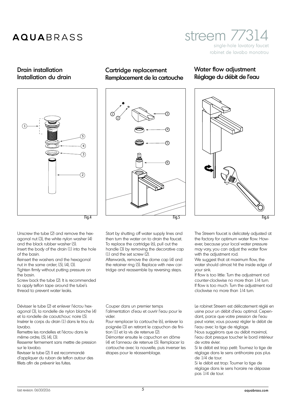### streem 7731 single-hole lavatory faucet robinet de lavabo monotrou

## Drain installation

Installation du drain



Cartridge replacement Remplacement de la cartouche

# 3 6 1 2 4 5 Fig.4 Fig.5

Start by shutting off water supply lines and then turn the water on to drain the faucet. To replace the cartridge (6), pull out the handle (3) by removing the decorative cap (1) and the set screw (2).

Afterwards, remove the dome cap (4) and the retainer ring (5). Replace with new cartridge and reassemble by reversing steps.

Couper dans un premier temps

l'alimentation d'eau et ouvrir l'eau pour le vider.

Pour remplacer la cartouche (6), enlever la poignée (3) en retirant le capuchon de finition (1) et la vis de retenue (2).

Démonter ensuite le capuchon en dôme (4) et l'anneau de retenue (5). Remplacer la cartouche avec la nouvelle, puis inverser les étapes pour le réassemblage.

#### Water flow adjustment Réglage du débit de l'eau



Fig.6

The Streem faucet is delicately adjusted at the factory for optimum water flow. However, because your local water pressure may vary, you can adjust the water flow with the adjustment rod.

We suggest that at maximum flow, the water should almost hit the inside edge of your sink.

If flow is too little: Turn the adjustment rod counter-clockwise no more than 1/4 turn. If flow is too much: Turn the adjustment rod clockwise no more than 1/4 turn.

Le robinet Streem est délicatement réglé en usine pour un débit d'eau optimal. Cependant, parce que votre pression de l'eau peut varier, vous pouvez régler le débit de l'eau avec la tige de réglage.

Nous suggérons que au débit maximal, l'eau doit presque toucher le bord intérieur de votre évier.

Si le débit est trop petit: Tournez la tige de réglage dans le sens antihoraire pas plus de 1/4 de tour.

Si le débit est trop: Tourner la tige de réglage dans le sens horaire ne dépasse pas 1/4 de tour.

agonal nut (3), the white nylon washer (4) and the black rubber washer (5). Insert the body of the drain (1) into the hole of the basin.

Unscrew the tube (2) and remove the hex-

Reinsert the washers and the hexagonal nut in the same order; (5), (4), (3).

Tighten firmly without putting pressure on the basin.

Screw back the tube (2). It is recommended to apply teflon tape around the tube's thread to prevent water leaks.

Dévisser le tube (2) et enlever l'écrou hexagonal (3), la rondelle de nylon blanche (4) et la rondelle de caoutchouc noire (5). Insérer le corps du drain (1) dans le trou du lavabo.

Remettre les rondelles et l'écrou dans le même ordre; (5), (4), (3).

Resserrer fermement sans mettre de pression sur le lavabo.

Revisser le tube (2). Il est recommandé d'appliquer du ruban de teflon autour des fillets afin de prévenir les fuites.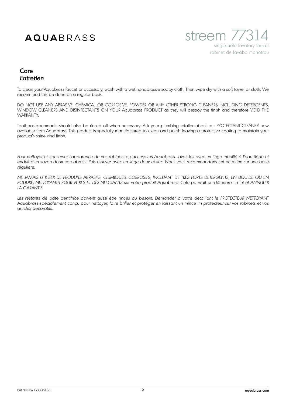

### Care *Entretien*

To clean your Aquabrass faucet or accessory, wash with a wet nonabrasive soapy cloth. Then wipe dry with a soft towel or cloth. We recommend this be done on a regular basis.

DO NOT USE ANY ABRASIVE, CHEMICAL OR CORROSIVE, POWDER OR ANY OTHER STRONG CLEANERS INCLUDING DETERGENTS, WINDOW CLEANERS AND DISINFECTANTS ON YOUR Aquabrass PRODUCT as they will destroy the finish and therefore VOID THE WARRANTY.

Toothpaste remnants should also be rinsed off when necessary. Ask your plumbing retailer about our PROTECTANT-CLEANER now available from Aquabrass. This product is specially manufactured to clean and polish leaving a protective coating to maintain your product's shine and finish.

Pour nettoyer et conserver l'apparence de vos robinets ou accesoires Aquabrass, lavez-les avec un linge mouillé à l'eau tiède et *enduit d'un savon doux non-abrasif. Puis essuyer avec un linge doux et sec. Nous vous recommandons cet entretien sur une base régulière.*

*NE JAMAIS UTILISER DE PRODUITS ABRASIFS, CHIMIQUES, CORROSIFS, INCLUANT DE TRÈS FORTS DÉTERGENTS, EN LIQUIDE OU EN POUDRE, NETTOYANTS POUR VITRES ET DÉSINFECTANTS sur votre produit Aquabrass. Cela pourrait en détériorer le fni et ANNULER LA GARANTIE.*

Les restants de pâte dentifrice doivent aussi être rincés au besoin. Demander à votre détaillant le PROTECTEUR NETTOYANT *Aquabrass spécialement conçu pour nettoyer, faire briller et protéger en laissant un mince lm protecteur sur vos robinets et vos articles décoratifs.*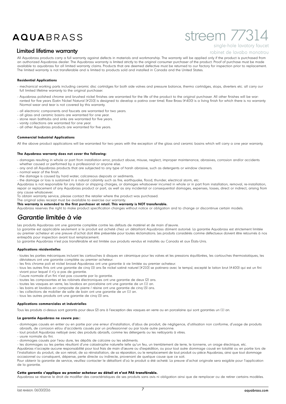### streem 7731 single-hole lavatory faucet

#### Limited lifetime warranty

robinet de lavabo monotrou

All Aquabrass products carry a full warranty against defects in materials and workmanship. The warranty will be applied only if the product is purchased from an authorized Aquabrass dealer. The Aquabrass warranty is limited strictly to the original consumer purchaser of the product. Proof of purchase must be made available to aquabrass for all limited warranty claims. Products that are deemed defective must be returned to our factory for inspection prior to replacement. The limited warranty is not transferable and is limited to products sold and installed in Canada and the United States.

#### **Residential Applications**

- mechanical working parts including ceramic disc cartridges for both side valves and pressure balance, thermo cartridges, stops, diverters etc. all carry our full limited lifetime warranty to the original purchaser.
- Aquabrass polished chrome and brushed nickel finishes are warranted for the life of the product to the original purchaser. All other finishes will be warranted for five years (Satin Nickel Natural [#210] is designed to develop a patina over time). Raw Brass (#400) is a living finish for which there is no warranty Normal wear and tear is not covered by this warranty.
- all electronic components and faucets are warranted for two years.
- all glass and ceramic basins are warranted for one year. - stone resin bathtubs and sinks are warranted for five years.
- vanity collections are warranted for one year.
- all other Aquabrass products are warranted for five years.

#### **Commercial Industrial Applications**

All the above product applications will be warranted for two years with the exception of the glass and ceramic basins which will carry a one year warranty.

#### **The Aquabrass warranty does not cover the following:**

- damages resulting in whole or part from installation error, product abuse, misuse, neglect, improper maintenance, abrasives, corrosion and/or accidents whether caused or performed by a professional or anyone else.
- any and all Aquabrass products that are subjected to any type of harsh abrasive, such as detergents or window cleaners.
- normal wear of the finish.
- the damage is caused by hard water, calcareous deposits or sediments.
- the damage or loss is sustained in a natural calamity such as fire, earthquake, flood, thunder, electrical storm, etc.

Aquabrass is not responsible for any labor or shipping charges, or damages whatsoever incurred in whole or in part from installation, removal, re-installation, repair or replacement of any Aquabrass product or part, as well as any incidental or consequential damages, expenses, losses, direct or indirect, arising from any cause whatsoever.

To obtain warranty service, please contact the retailer where the product was purchased.

The original sales receipt must be available to exercise our warranty.

**This warranty is extended to the first purchaser at retail. This warranty is NOT transferable.** 

Aquabrass reserves the right to make product specification changes without notice or obligation and to change or discontinue certain models.

### *Garantie limitée à vie*

Les produits Aquabrass ont une garantie complète contre les défauts de matériel et de main d'œuvre.

La garantie est applicable seulement si le produit est acheté chez un détaillant Aquabrass dûment autorisé. La garantie Aquabrass est strictement limitée au premier acheteur et une preuve d'achat doit être présentée pour toutes réclamations. Les produits considérés comme défectueux doivent être retournés à nos entrepôts pour inspection avant tout remplacement.

La garantie Aquabrass n'est pas transférable et est limitée aux produits vendus et installés au Canada et aux États-Unis.

#### **Applications résidentielles**

- toutes les parties mécaniques incluant les cartouches à disques en céramique pour les valves et les pressions équilibrées, les cartouches thermostatiques, les déviateurs ont une garantie complète au premier acheteur.
- les finis chrome poli et nickel brossé Aquabrass ont une garantie à vie limitée au premier acheteur.
- tous les autres finis ont une garantie de cinq (5) ans (le nickel satiné naturel [#210] se patinera avec le temps), excepté le laiton brut (#400) qui est un fini vivant pour lequel il n'y a pas de garantie.
- l'usure normale d'un fini n'est pas couverte par la garantie.
- toutes les composantes et les robinets électroniques ont une garantie de deux (2) ans.
- toutes les vasques en verre, les lavabos en porcelaine ont une garantie de un (1) an.
- les bains et lavabos en composite de pierre / résine ont une garantie de cinq (5) ans.
- les collections de mobilier de salle de bain ont une garantie de un (1) an.
- tous les autres produits ont une garantie de cinq (5) ans.

#### **Applications commerciales et industrielles**

Tous les produits ci-dessus sont garantis pour deux (2) ans à l'exception des vasques en verre ou en porcelaine qui sont garanties un (1) an.

#### **La garantie Aquabrass ne couvre pas :**

- dommages causés en entier ou en partie par une erreur d'installation, d'abus de produit, de négligence, d'utilisation non conforme, d'usage de produits abrasifs, de corrosion et/ou d'accidents causés par un professionnel ou par toute autre personne.
- tout produit Aquabrass nettoyé avec des produits abrasifs, comme les détergents ou les nettoyants à vitres.
- usure normale du fini.
- dommages causés par l'eau dure, les dépôts de calcaire ou les sédiments.

- les dommages ou les pertes résultant d'une catastrophe naturelle telle qu'un feu, un tremblement de terre, le tonnerre, un orage électrique, etc.

Aquabrass n'accepte aucune responsabilité pour tout frais de main d'œuvre ou d'expédition, ou pour tout autre dommage causé en totalité ou en partie lors de l'installation du produit, de son retrait, de sa réinstallation, de sa réparation, ou le remplacement de tout produit ou pièce Aquabrass, ainsi que tout dommage occasionnel ou conséquent, dépense, perte directe ou indirecte, provenant de quelque cause que ce soit.

Pour obtenir la garantie de service, veuillez contacter le détaillant d'où le produit a été acheté. La preuve d'achat originale sera exigible pour l'application de la garantie.

#### **Cette garantie s'applique au premier acheteur au détail et n'est PAS transférable.**

Aquabrass se réserve le droit de modifier des caractéristiques de ses produits sans avis ni obligation ainsi que de remplacer ou de retirer certains modèles.